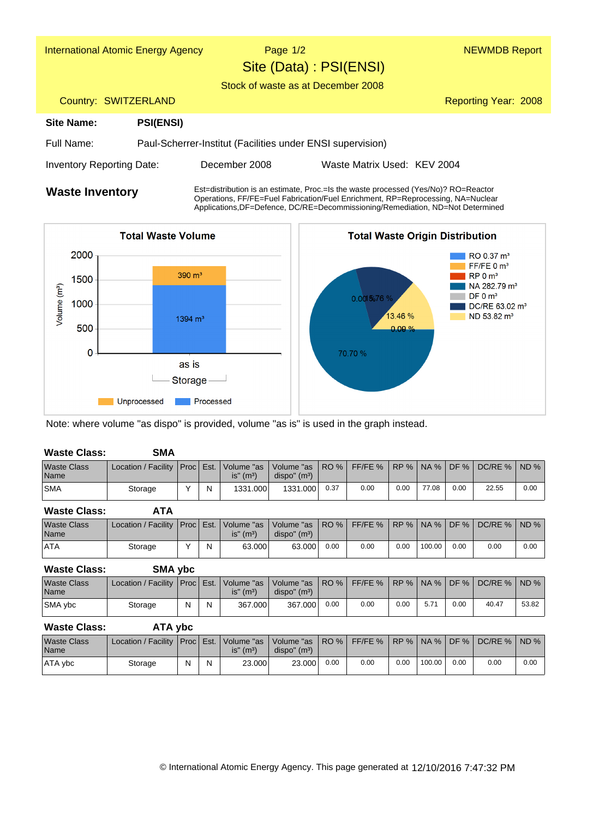| <b>International Atomic Energy Agency</b> |                                                            | Page $1/2$<br>Site (Data): PSI(ENSI)<br>Stock of waste as at December 2008         |                             | <b>NEWMDB Report</b> |  |  |  |
|-------------------------------------------|------------------------------------------------------------|------------------------------------------------------------------------------------|-----------------------------|----------------------|--|--|--|
| Country: SWITZERLAND                      |                                                            |                                                                                    |                             | Reporting Year: 2008 |  |  |  |
| Site Name:                                | <b>PSI(ENSI)</b>                                           |                                                                                    |                             |                      |  |  |  |
| Full Name:                                | Paul-Scherrer-Institut (Facilities under ENSI supervision) |                                                                                    |                             |                      |  |  |  |
| <b>Inventory Reporting Date:</b>          |                                                            | December 2008                                                                      | Waste Matrix Used: KEV 2004 |                      |  |  |  |
| Waste Inventory                           |                                                            | Est=distribution is an estimate, Proc.=Is the waste processed (Yes/No)? RO=Reactor |                             |                      |  |  |  |

**Waste Inventory** Est=distribution is an estimate, Proc.=Is the waste processed (Yes/No)? RO=Reactor<br>Operations, FF/FE=Fuel Fabrication/Fuel Enrichment, RP=Reprocessing, NA=Nuclear Applications,DF=Defence, DC/RE=Decommissioning/Remediation, ND=Not Determined



Note: where volume "as dispo" is provided, volume "as is" is used in the graph instead.

| <b>Waste Class:</b>        | SMA                                                                                                                |   |             |                           |      |      |      |       |      |       |      |
|----------------------------|--------------------------------------------------------------------------------------------------------------------|---|-------------|---------------------------|------|------|------|-------|------|-------|------|
| Waste Class<br><b>Name</b> | Location / Facility   Proc   Est.   Volume "as   Volume "as   RO %   FF/FE %   RP %   NA %   DF %   DC/RE %   ND % |   | is" $(m^3)$ | dispo'' (m <sup>3</sup> ) |      |      |      |       |      |       |      |
| <b>SMA</b>                 | Storage                                                                                                            | N | 1331.000    | 1331.000                  | 0.37 | 0.00 | 0.00 | 77.08 | 0.00 | 22.55 | 0.00 |

#### **ATA Waste Class:**

| <b>Waste Class</b><br>Name | Location / Facility   Proc   Est.   Volume "as |   | $is''$ ( $m^3$ ) | Volume "as   RO %   FF/FE %   RP %   NA %   DF %   DC/RE %  <br>dispo'' (m <sup>3</sup> ) |      |      |      |        |      |      | ND%  |
|----------------------------|------------------------------------------------|---|------------------|-------------------------------------------------------------------------------------------|------|------|------|--------|------|------|------|
| <b>ATA</b>                 | Storage                                        | N | 63.000           | 63.000                                                                                    | 0.00 | 0.00 | 0.00 | 100.00 | 0.00 | 0.00 | 0.00 |

 **SMA ybc Waste Class:**

| Waste Class<br>Name | Location / Facility   Proc   Est. |   |   | Volume "as   Volume "as   RO %   FF/FE %   RP %   NA %   DF %    <br>$is''$ (m <sup>3</sup> ) | dispo''(m <sup>3</sup> ) |      |      |      |                  |      | DC/RE %   ND % |       |
|---------------------|-----------------------------------|---|---|-----------------------------------------------------------------------------------------------|--------------------------|------|------|------|------------------|------|----------------|-------|
| <b>SMA</b> vbc      | Storage                           | N | N | 367.000                                                                                       | 367.000                  | 0.00 | 0.00 | 0.00 | 5.7 <sup>4</sup> | 0.00 | 40.47          | 53.82 |

#### **ATA ybc Waste Class:**

| Waste Class<br>Name | Location / Facility   Proc   Est.   Volume "as   Volume "as   RO %   FF/FE %   RP %   NA %   DF % |   |   | $is''$ ( $m^3$ ) | dispo'' (m <sup>3</sup> ) |      |      |      |        |      | DC/RE %   ND % |      |
|---------------------|---------------------------------------------------------------------------------------------------|---|---|------------------|---------------------------|------|------|------|--------|------|----------------|------|
| <b>ATA</b> vbc      | Storage                                                                                           | N | N | 23.000           | 23,000                    | 0.00 | 0.00 | 0.00 | 100.00 | 0.00 | 0.00           | 0.00 |